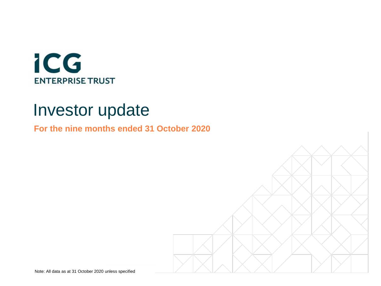

# Investor update

**For the nine months ended 31 October 2020**

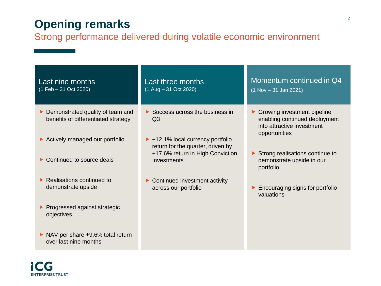## **Opening remarks**

### Strong performance delivered during volatile economic environment

| Last nine months<br>(1 Feb - 31 Oct 2020)                                                                                    | Last three months<br>$(1$ Aug $- 31$ Oct 2020)                                                                                                                  | Momentum continued in Q4<br>$(1$ Nov $-31$ Jan 2021)                                                          |
|------------------------------------------------------------------------------------------------------------------------------|-----------------------------------------------------------------------------------------------------------------------------------------------------------------|---------------------------------------------------------------------------------------------------------------|
| $\triangleright$ Demonstrated quality of team and<br>benefits of differentiated strategy<br>▶ Actively managed our portfolio | $\triangleright$ Success across the business in<br>Q <sub>3</sub><br>$\blacktriangleright$ +12.1% local currency portfolio<br>return for the quarter, driven by | ▶ Growing investment pipeline<br>enabling continued deployment<br>into attractive investment<br>opportunities |
| $\triangleright$ Continued to source deals                                                                                   | +17.6% return in High Conviction<br>Investments                                                                                                                 | $\triangleright$ Strong realisations continue to<br>demonstrate upside in our<br>portfolio                    |
| $\blacktriangleright$ Realisations continued to<br>demonstrate upside                                                        | $\triangleright$ Continued investment activity<br>across our portfolio                                                                                          | Encouraging signs for portfolio<br>valuations                                                                 |
| ▶ Progressed against strategic<br>objectives                                                                                 |                                                                                                                                                                 |                                                                                                               |
| $\triangleright$ NAV per share $+9.6\%$ total return<br>over last nine months                                                |                                                                                                                                                                 |                                                                                                               |

iCG **ENTERPRISE TRUST**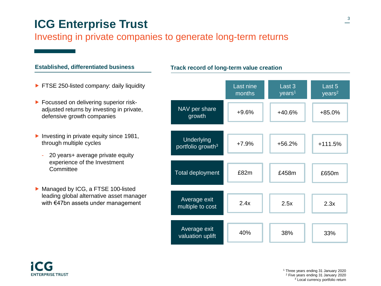## **ICG Enterprise Trust**

#### Investing in private companies to generate long-term returns

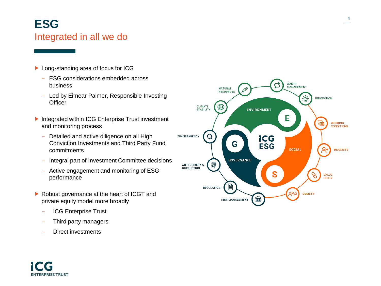## **ESG** Integrated in all we do

- ▶ Long-standing area of focus for ICG
	- ESG considerations embedded across business
	- Led by Eimear Palmer, Responsible Investing **Officer**
- Integrated within ICG Enterprise Trust investment and monitoring process
	- Detailed and active diligence on all High Conviction Investments and Third Party Fund commitments
	- Integral part of Investment Committee decisions
	- Active engagement and monitoring of ESG performance
- ▶ Robust governance at the heart of ICGT and private equity model more broadly
	- ICG Enterprise Trust
	- Third party managers
	- Direct investments

**ENTERPRISE TRUST** 

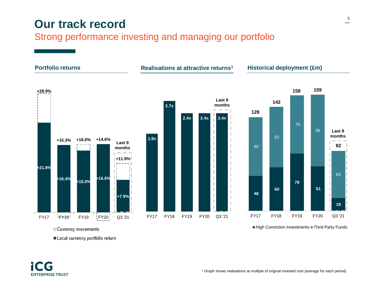## **Our track record**

### Strong performance investing and managing our portfolio



o Currency movements

Local currency portfolio return

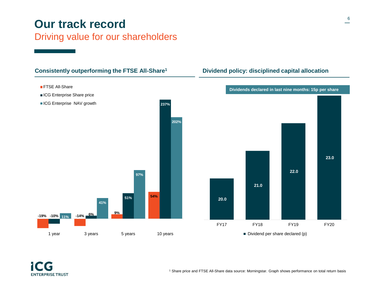## **Our track record** Driving value for our shareholders

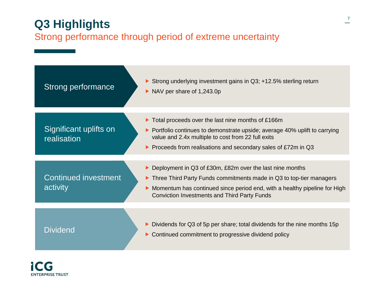## **Q3 Highlights** Strong performance through period of extreme uncertainty



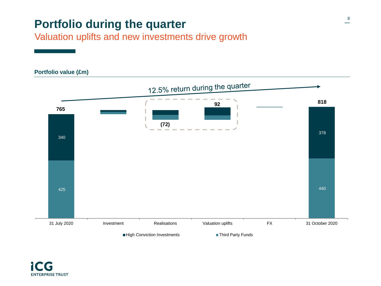## **Portfolio during the quarter**

Valuation uplifts and new investments drive growth

# **Portfolio value (£m)** 12.5% return during the quarter **81892 765 (72)** 378 340  $425$  and  $440$ 31 July 2020 Investment Realisations Valuation uplifts FX 31 October 2020 High Conviction Investments Third Party Funds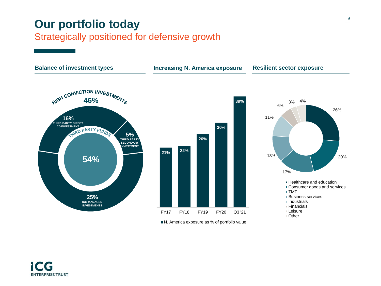## **Our portfolio today**

### Strategically positioned for defensive growth



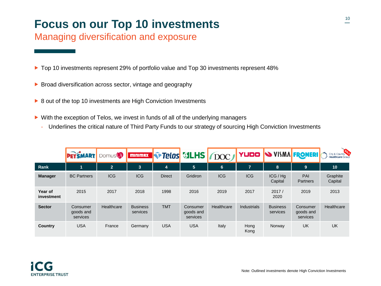## **Focus on our Top 10 investments**

### Managing diversification and exposure

- ▶ Top 10 investments represent 29% of portfolio value and Top 30 investments represent 48%
- Broad diversification across sector, vintage and geography
- ▶ 8 out of the top 10 investments are High Conviction Investments
- ▶ With the exception of Telos, we invest in funds of all of the underlying managers
	- Underlines the critical nature of Third Party Funds to our strategy of sourcing High Conviction Investments

|                       | <b>PETSMART</b>                   | Domus <sup>()</sup>   | <b>MINIMAX</b>              | <b>For Telos MILHS TOOC</b> |                                   |                | YUDO               | <b>S VISMA FROMERI</b>      |                                   | City & County<br>Healthcare Group |
|-----------------------|-----------------------------------|-----------------------|-----------------------------|-----------------------------|-----------------------------------|----------------|--------------------|-----------------------------|-----------------------------------|-----------------------------------|
| Rank                  | 4                                 | $\mathbf{2}^{\prime}$ | 3                           | $\overline{4}$              | 5                                 | $6\phantom{1}$ | $\overline{ }$     | 8                           | 9                                 | 10                                |
| <b>Manager</b>        | <b>BC</b> Partners                | <b>ICG</b>            | <b>ICG</b>                  | <b>Direct</b>               | Gridiron                          | <b>ICG</b>     | <b>ICG</b>         | ICG/Hq<br>Capital           | PAI<br><b>Partners</b>            | Graphite<br>Capital               |
| Year of<br>investment | 2015                              | 2017                  | 2018                        | 1998                        | 2016                              | 2019           | 2017               | 2017/<br>2020               | 2019                              | 2013                              |
| <b>Sector</b>         | Consumer<br>goods and<br>services | Healthcare            | <b>Business</b><br>services | <b>TMT</b>                  | Consumer<br>goods and<br>services | Healthcare     | <b>Industrials</b> | <b>Business</b><br>services | Consumer<br>goods and<br>services | Healthcare                        |
| Country               | <b>USA</b>                        | France                | Germany                     | <b>USA</b>                  | <b>USA</b>                        | Italy          | Hong<br>Kong       | Norway                      | UK                                | UK                                |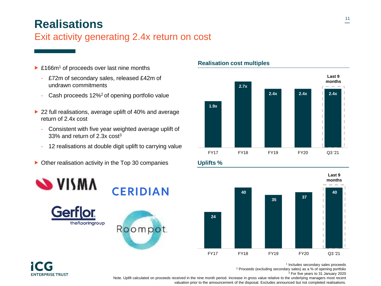## **Realisations**

### Exit activity generating 2.4x return on cost

- ▶ £166m<sup>1</sup> of proceeds over last nine months
	- £72m of secondary sales, released £42m of undrawn commitments
	- Cash proceeds 12%<sup>2</sup> of opening portfolio value
- ▶ 22 full realisations, average uplift of 40% and average return of 2.4x cost
	- Consistent with five year weighted average uplift of 33% and return of 2.3x cost<sup>3</sup>
	- 12 realisations at double digit uplift to carrying value
- $\triangleright$  Other realisation activity in the Top 30 companies









# **ENTERPRISE TRUST**







1 Includes secondary sales proceeds

<sup>2</sup> Proceeds (excluding secondary sales) as a % of opening portfolio

<sup>3</sup> For five years to 31 January 2020

Note. Uplift calculated on proceeds received in the nine month period. Increase in gross value relative to the underlying managers most recent valuation prior to the announcement of the disposal. Excludes announced but not completed realisations.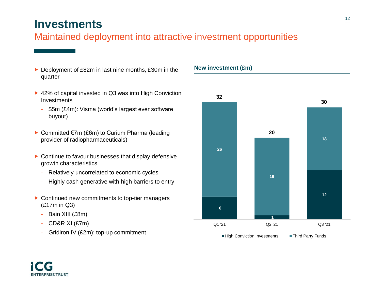## **Investments**

### Maintained deployment into attractive investment opportunities

- ▶ Deployment of £82m in last nine months, £30m in the quarter
- ▶ 42% of capital invested in Q3 was into High Conviction **Investments** 
	- \$5m (£4m): Visma (world's largest ever software buyout)
- Committed €7m (£6m) to Curium Pharma (leading provider of radiopharmaceuticals)
- ▶ Continue to favour businesses that display defensive growth characteristics
	- Relatively uncorrelated to economic cycles
	- Highly cash generative with high barriers to entry
- ▶ Continued new commitments to top-tier managers (£17m in Q3)
	- Bain XIII (£8m)
	- CD&R XI (£7m)

**ENTERPRISE TRUST** 

- Gridiron IV (£2m); top-up commitment





12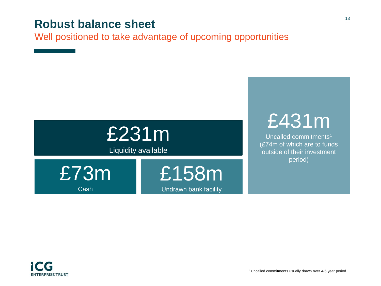## **Robust balance sheet**

Well positioned to take advantage of upcoming opportunities



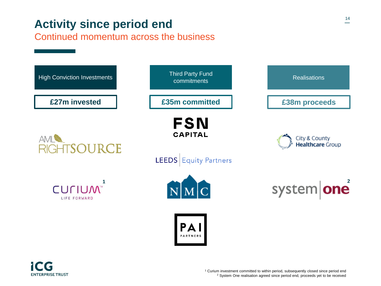## **Activity since period end**

Continued momentum across the business

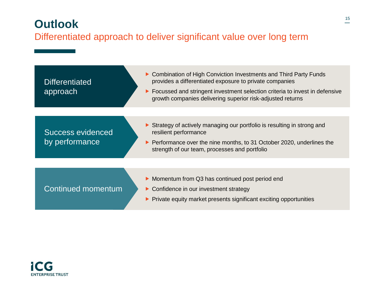## **Outlook** Differentiated approach to deliver significant value over long term

| <b>Differentiated</b><br>approach   | ► Combination of High Conviction Investments and Third Party Funds<br>provides a differentiated exposure to private companies<br>Focussed and stringent investment selection criteria to invest in defensive<br>▶<br>growth companies delivering superior risk-adjusted returns |
|-------------------------------------|---------------------------------------------------------------------------------------------------------------------------------------------------------------------------------------------------------------------------------------------------------------------------------|
|                                     |                                                                                                                                                                                                                                                                                 |
| Success evidenced<br>by performance | Strategy of actively managing our portfolio is resulting in strong and<br>resilient performance<br>Performance over the nine months, to 31 October 2020, underlines the<br>▶<br>strength of our team, processes and portfolio                                                   |
|                                     |                                                                                                                                                                                                                                                                                 |
| Continued momentum                  | • Momentum from Q3 has continued post period end<br>• Confidence in our investment strategy<br>Private equity market presents significant exciting opportunities                                                                                                                |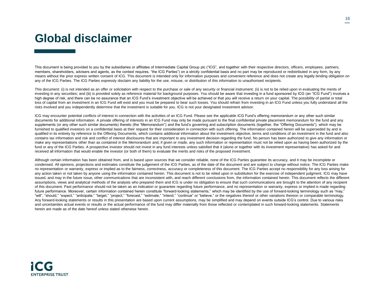## **Global disclaimer**

This document is being provided to you by the subsidiaries or affiliates of Intermediate Capital Group plc ("ICG", and together with their respective directors, officers, employees, partners, members, shareholders, advisers and agents, as the context requires, "the ICG Parties") on a strictly confidential basis and no part may be reproduced or redistributed in any form, by any means without the prior express written consent of ICG. This document is intended only for information purposes and convenient reference and does not create any legally binding obligation on any of the ICG Parties. The ICG Parties expressly disclaim any liability for the use, misuse, or distribution of this information to unauthorised recipients.

This document: (i) is not intended as an offer or solicitation with respect to the purchase or sale of any security or financial instrument; (ii) is not to be relied upon in evaluating the merits of investing in any securities; and (iii) is provided solely as reference material for background purposes. You should be aware that investing in a fund sponsored by ICG (an "ICG Fund") involves a high degree of risk, and there can be no assurance that an ICG Fund's investment objective will be achieved or that you will receive a return on your capital. The possibility of partial or total loss of capital from an investment in an ICG Fund will exist and you must be prepared to bear such losses. You should refrain from investing in an ICG Fund unless you fully understand all the risks involved and you independently determine that the investment is suitable for you. ICG is not your designated investment advisor.

ICG may encounter potential conflicts of interest in connection with the activities of an ICG Fund. Please see the applicable ICG Fund's offering memorandum or any other such similar documents for additional information. A private offering of interests in an ICG Fund may only be made pursuant to the final confidential private placement memorandum for the fund and any supplements (or any other such similar documents) thereto (the "Memorandum") and the fund's governing and subscription documents (together, the "Offering Documents"), which may be furnished to qualified investors on a confidential basis at their request for their consideration in connection with such offering. The information contained herein will be superseded by and is qualified in its entirety by reference to the Offering Documents, which contains additional information about the investment objective, terms and conditions of an investment in the fund and also contains tax information and risk and conflict of interest disclosures that are important to any investment decision regarding the fund. No person has been authorized to give any information or make any representations other than as contained in the Memorandum and, if given or made, any such information or representation must not be relied upon as having been authorized by the fund or any of the ICG Parties. A prospective investor should not invest in any fund interests unless satisfied that it (alone or together with its investment representative) has asked for and received all information that would enable the investor (or both of them) to evaluate the merits and risks of the proposed investment.

Although certain information has been obtained from, and is based upon sources that we consider reliable, none of the ICG Parties guarantee its accuracy, and it may be incomplete or condensed. All opinions, projections and estimates constitute the judgement of the ICG Parties, as of the date of the document and are subject to change without notice. The ICG Parties make no representation or warranty, express or implied as to the fairness, correctness, accuracy or completeness of this document. The ICG Parties accept no responsibility for any loss arising for any action taken or not taken by anyone using the information contained herein. This document is not to be relied upon in substitution for the exercise of independent judgment. ICG may have issued, and may in the future issue, other communications that are inconsistent with, and reach different conclusions from, the information contained herein. This document reflects the different assumptions, views and analytical methods of the analysts who prepared them and ICG is under no obligation to ensure that such communications are brought to the attention of any recipient of this document. Past performance should not be taken as an indication or guarantee regarding future performance, and no representation or warranty, express or implied is made regarding future performance. Moreover, certain information contained herein constitute "forward-looking statements," which may be identified by the use of forward-looking terminology such as "may," "will", "should," "expect," "anticipate," "target," "project," "forecast," "estimate," "intend," "continue" or "believe," or the negatives thereof or other variations thereon or comparable terminology. Any forward-looking statements or results in this presentation are based upon current assumptions, may be simplified and may depend on events outside ICG's control. Due to various risks and uncertainties actual events or results or the actual performance of the fund may differ materially from those reflected or contemplated in such forward-looking statements. Statements herein are made as of the date hereof unless stated otherwise herein.